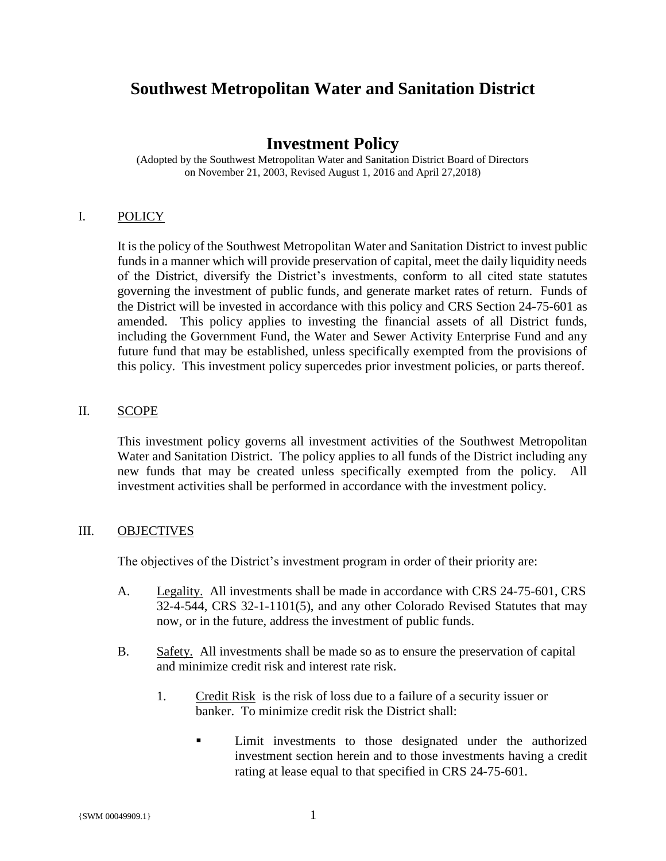# **Southwest Metropolitan Water and Sanitation District**

# **Investment Policy**

(Adopted by the Southwest Metropolitan Water and Sanitation District Board of Directors on November 21, 2003, Revised August 1, 2016 and April 27,2018)

#### I. POLICY

It is the policy of the Southwest Metropolitan Water and Sanitation District to invest public funds in a manner which will provide preservation of capital, meet the daily liquidity needs of the District, diversify the District's investments, conform to all cited state statutes governing the investment of public funds, and generate market rates of return. Funds of the District will be invested in accordance with this policy and CRS Section 24-75-601 as amended. This policy applies to investing the financial assets of all District funds, including the Government Fund, the Water and Sewer Activity Enterprise Fund and any future fund that may be established, unless specifically exempted from the provisions of this policy. This investment policy supercedes prior investment policies, or parts thereof.

#### II. SCOPE

This investment policy governs all investment activities of the Southwest Metropolitan Water and Sanitation District. The policy applies to all funds of the District including any new funds that may be created unless specifically exempted from the policy. All investment activities shall be performed in accordance with the investment policy.

#### III. OBJECTIVES

The objectives of the District's investment program in order of their priority are:

- A. Legality. All investments shall be made in accordance with CRS 24-75-601, CRS 32-4-544, CRS 32-1-1101(5), and any other Colorado Revised Statutes that may now, or in the future, address the investment of public funds.
- B. Safety. All investments shall be made so as to ensure the preservation of capital and minimize credit risk and interest rate risk.
	- 1. Credit Risk is the risk of loss due to a failure of a security issuer or banker. To minimize credit risk the District shall:
		- **EXECUTE:** Limit investments to those designated under the authorized investment section herein and to those investments having a credit rating at lease equal to that specified in CRS 24-75-601.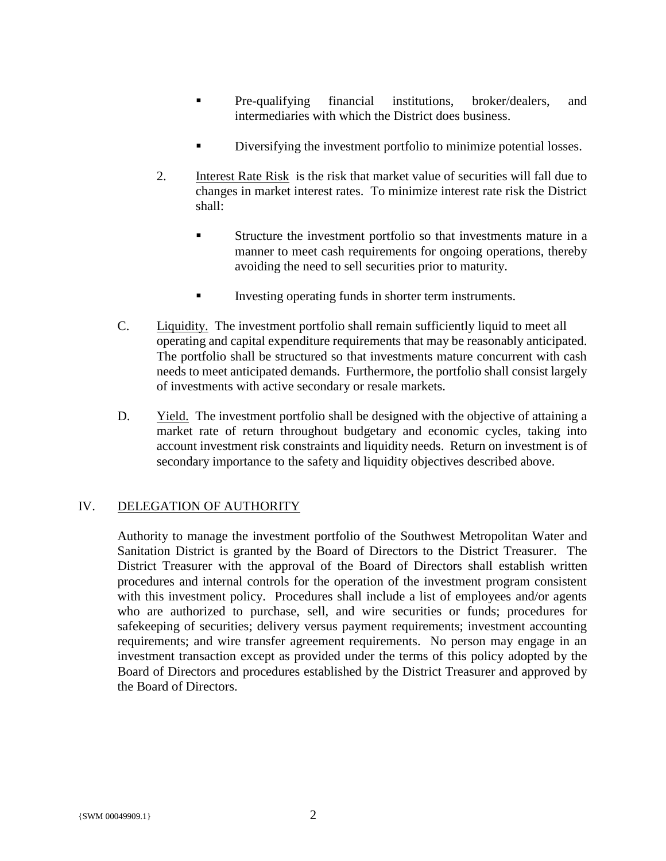- **•** Pre-qualifying financial institutions, broker/dealers, and intermediaries with which the District does business.
- **•** Diversifying the investment portfolio to minimize potential losses.
- 2. Interest Rate Risk is the risk that market value of securities will fall due to changes in market interest rates. To minimize interest rate risk the District shall:
	- **Exercise 1** Structure the investment portfolio so that investments mature in a manner to meet cash requirements for ongoing operations, thereby avoiding the need to sell securities prior to maturity.
	- **Investing operating funds in shorter term instruments.**
- C. Liquidity. The investment portfolio shall remain sufficiently liquid to meet all operating and capital expenditure requirements that may be reasonably anticipated. The portfolio shall be structured so that investments mature concurrent with cash needs to meet anticipated demands. Furthermore, the portfolio shall consist largely of investments with active secondary or resale markets.
- D. Yield. The investment portfolio shall be designed with the objective of attaining a market rate of return throughout budgetary and economic cycles, taking into account investment risk constraints and liquidity needs. Return on investment is of secondary importance to the safety and liquidity objectives described above.

# IV. DELEGATION OF AUTHORITY

Authority to manage the investment portfolio of the Southwest Metropolitan Water and Sanitation District is granted by the Board of Directors to the District Treasurer. The District Treasurer with the approval of the Board of Directors shall establish written procedures and internal controls for the operation of the investment program consistent with this investment policy. Procedures shall include a list of employees and/or agents who are authorized to purchase, sell, and wire securities or funds; procedures for safekeeping of securities; delivery versus payment requirements; investment accounting requirements; and wire transfer agreement requirements. No person may engage in an investment transaction except as provided under the terms of this policy adopted by the Board of Directors and procedures established by the District Treasurer and approved by the Board of Directors.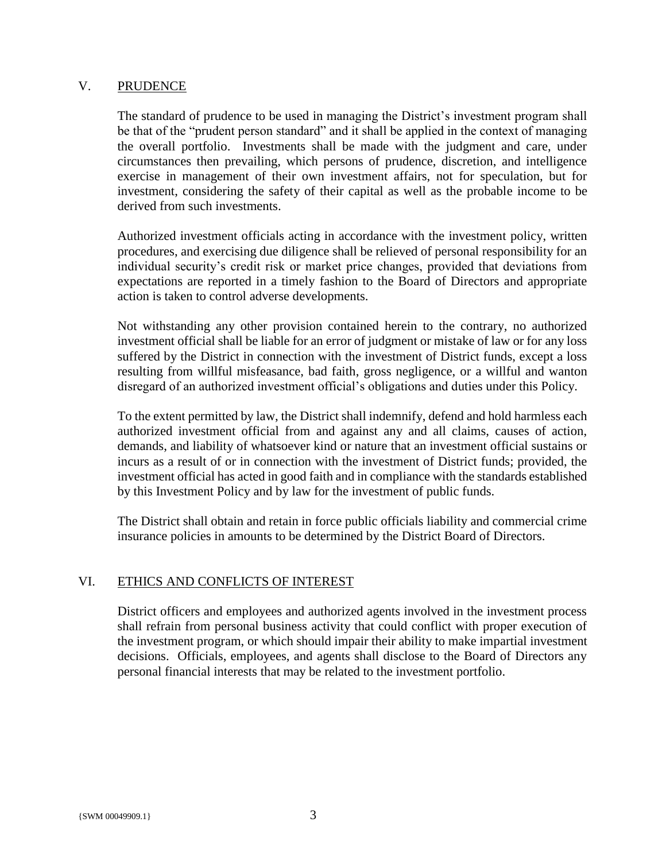#### V. PRUDENCE

The standard of prudence to be used in managing the District's investment program shall be that of the "prudent person standard" and it shall be applied in the context of managing the overall portfolio. Investments shall be made with the judgment and care, under circumstances then prevailing, which persons of prudence, discretion, and intelligence exercise in management of their own investment affairs, not for speculation, but for investment, considering the safety of their capital as well as the probable income to be derived from such investments.

Authorized investment officials acting in accordance with the investment policy, written procedures, and exercising due diligence shall be relieved of personal responsibility for an individual security's credit risk or market price changes, provided that deviations from expectations are reported in a timely fashion to the Board of Directors and appropriate action is taken to control adverse developments.

Not withstanding any other provision contained herein to the contrary, no authorized investment official shall be liable for an error of judgment or mistake of law or for any loss suffered by the District in connection with the investment of District funds, except a loss resulting from willful misfeasance, bad faith, gross negligence, or a willful and wanton disregard of an authorized investment official's obligations and duties under this Policy.

To the extent permitted by law, the District shall indemnify, defend and hold harmless each authorized investment official from and against any and all claims, causes of action, demands, and liability of whatsoever kind or nature that an investment official sustains or incurs as a result of or in connection with the investment of District funds; provided, the investment official has acted in good faith and in compliance with the standards established by this Investment Policy and by law for the investment of public funds.

The District shall obtain and retain in force public officials liability and commercial crime insurance policies in amounts to be determined by the District Board of Directors.

# VI. ETHICS AND CONFLICTS OF INTEREST

District officers and employees and authorized agents involved in the investment process shall refrain from personal business activity that could conflict with proper execution of the investment program, or which should impair their ability to make impartial investment decisions. Officials, employees, and agents shall disclose to the Board of Directors any personal financial interests that may be related to the investment portfolio.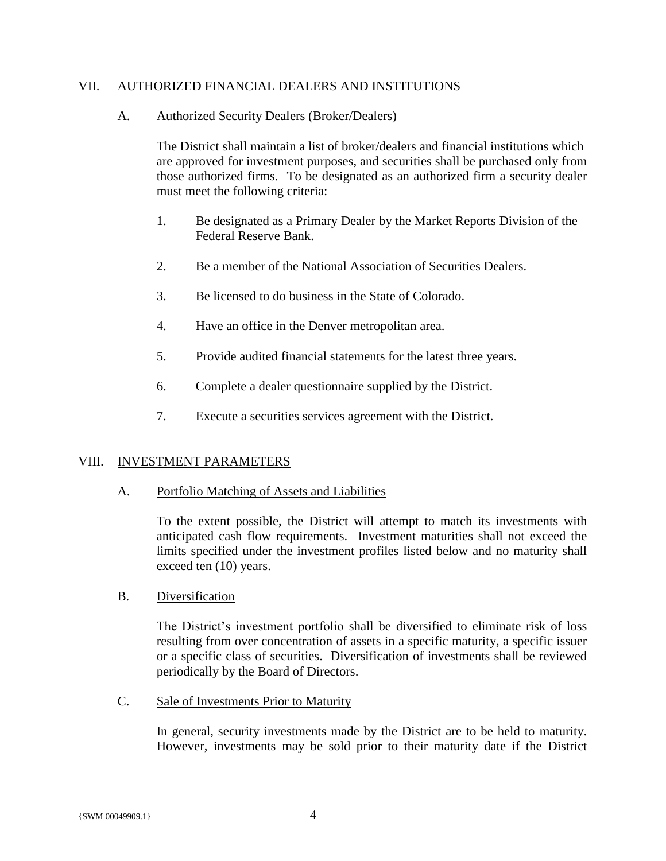#### VII. AUTHORIZED FINANCIAL DEALERS AND INSTITUTIONS

#### A. Authorized Security Dealers (Broker/Dealers)

The District shall maintain a list of broker/dealers and financial institutions which are approved for investment purposes, and securities shall be purchased only from those authorized firms. To be designated as an authorized firm a security dealer must meet the following criteria:

- 1. Be designated as a Primary Dealer by the Market Reports Division of the Federal Reserve Bank.
- 2. Be a member of the National Association of Securities Dealers.
- 3. Be licensed to do business in the State of Colorado.
- 4. Have an office in the Denver metropolitan area.
- 5. Provide audited financial statements for the latest three years.
- 6. Complete a dealer questionnaire supplied by the District.
- 7. Execute a securities services agreement with the District.

#### VIII. INVESTMENT PARAMETERS

#### A. Portfolio Matching of Assets and Liabilities

To the extent possible, the District will attempt to match its investments with anticipated cash flow requirements. Investment maturities shall not exceed the limits specified under the investment profiles listed below and no maturity shall exceed ten (10) years.

#### B. Diversification

The District's investment portfolio shall be diversified to eliminate risk of loss resulting from over concentration of assets in a specific maturity, a specific issuer or a specific class of securities. Diversification of investments shall be reviewed periodically by the Board of Directors.

C. Sale of Investments Prior to Maturity

In general, security investments made by the District are to be held to maturity. However, investments may be sold prior to their maturity date if the District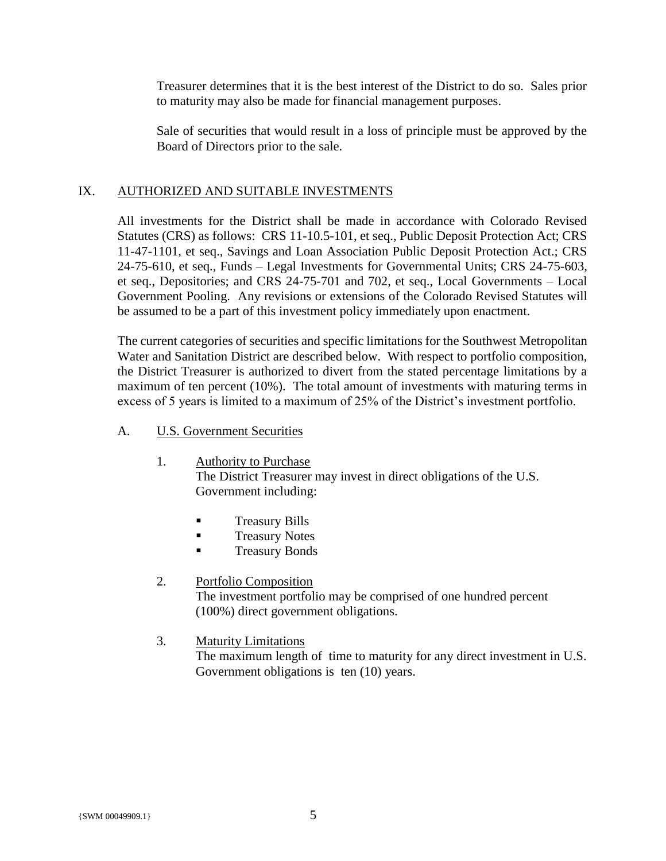Treasurer determines that it is the best interest of the District to do so. Sales prior to maturity may also be made for financial management purposes.

Sale of securities that would result in a loss of principle must be approved by the Board of Directors prior to the sale.

#### IX. AUTHORIZED AND SUITABLE INVESTMENTS

All investments for the District shall be made in accordance with Colorado Revised Statutes (CRS) as follows: CRS 11-10.5-101, et seq., Public Deposit Protection Act; CRS 11-47-1101, et seq., Savings and Loan Association Public Deposit Protection Act.; CRS 24-75-610, et seq., Funds – Legal Investments for Governmental Units; CRS 24-75-603, et seq., Depositories; and CRS 24-75-701 and 702, et seq., Local Governments – Local Government Pooling. Any revisions or extensions of the Colorado Revised Statutes will be assumed to be a part of this investment policy immediately upon enactment.

The current categories of securities and specific limitations for the Southwest Metropolitan Water and Sanitation District are described below. With respect to portfolio composition, the District Treasurer is authorized to divert from the stated percentage limitations by a maximum of ten percent (10%). The total amount of investments with maturing terms in excess of 5 years is limited to a maximum of 25% of the District's investment portfolio.

#### A. U.S. Government Securities

- 1. Authority to Purchase The District Treasurer may invest in direct obligations of the U.S. Government including:
	- **Treasury Bills**
	- Treasury Notes
	- **Treasury Bonds**

#### 2. Portfolio Composition

The investment portfolio may be comprised of one hundred percent (100%) direct government obligations.

# 3. Maturity Limitations

The maximum length of time to maturity for any direct investment in U.S. Government obligations is ten  $(10)$  years.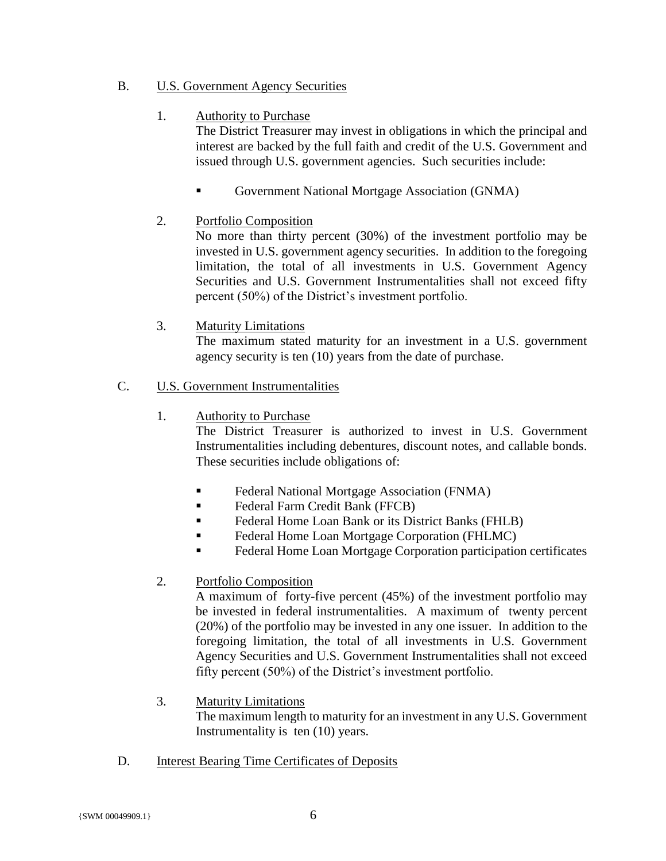# B. U.S. Government Agency Securities

### 1. Authority to Purchase

The District Treasurer may invest in obligations in which the principal and interest are backed by the full faith and credit of the U.S. Government and issued through U.S. government agencies. Such securities include:

■ Government National Mortgage Association (GNMA)

# 2. Portfolio Composition

No more than thirty percent (30%) of the investment portfolio may be invested in U.S. government agency securities. In addition to the foregoing limitation, the total of all investments in U.S. Government Agency Securities and U.S. Government Instrumentalities shall not exceed fifty percent (50%) of the District's investment portfolio.

# 3. Maturity Limitations

The maximum stated maturity for an investment in a U.S. government agency security is ten (10) years from the date of purchase.

### C. U.S. Government Instrumentalities

### 1. Authority to Purchase

The District Treasurer is authorized to invest in U.S. Government Instrumentalities including debentures, discount notes, and callable bonds. These securities include obligations of:

- Federal National Mortgage Association (FNMA)
- Federal Farm Credit Bank (FFCB)
- Federal Home Loan Bank or its District Banks (FHLB)
- Federal Home Loan Mortgage Corporation (FHLMC)
- Federal Home Loan Mortgage Corporation participation certificates

# 2. Portfolio Composition

A maximum of forty-five percent (45%) of the investment portfolio may be invested in federal instrumentalities. A maximum of twenty percent (20%) of the portfolio may be invested in any one issuer. In addition to the foregoing limitation, the total of all investments in U.S. Government Agency Securities and U.S. Government Instrumentalities shall not exceed fifty percent (50%) of the District's investment portfolio.

# 3. Maturity Limitations

The maximum length to maturity for an investment in any U.S. Government Instrumentality is ten (10) years.

# D. Interest Bearing Time Certificates of Deposits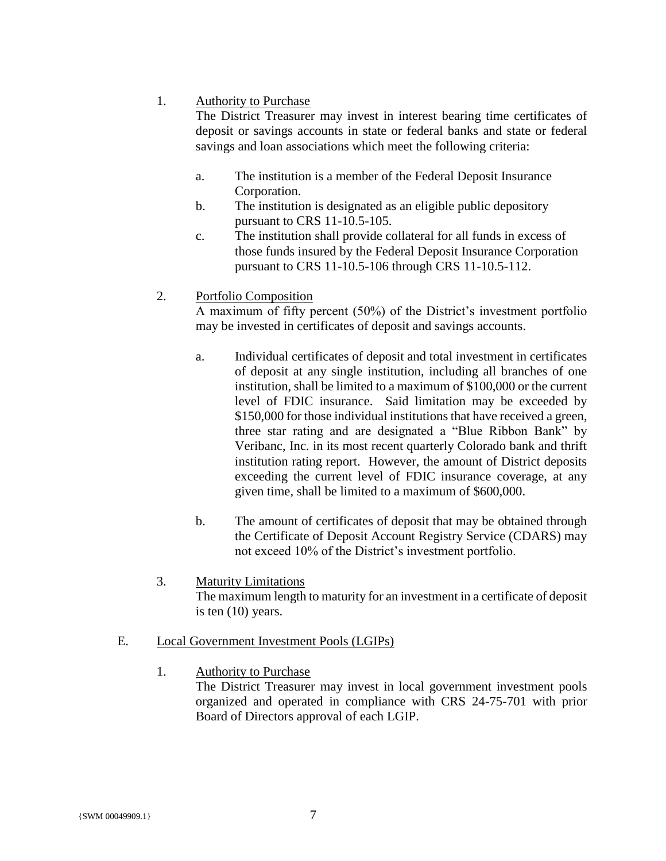### 1. Authority to Purchase

The District Treasurer may invest in interest bearing time certificates of deposit or savings accounts in state or federal banks and state or federal savings and loan associations which meet the following criteria:

- a. The institution is a member of the Federal Deposit Insurance Corporation.
- b. The institution is designated as an eligible public depository pursuant to CRS 11-10.5-105.
- c. The institution shall provide collateral for all funds in excess of those funds insured by the Federal Deposit Insurance Corporation pursuant to CRS 11-10.5-106 through CRS 11-10.5-112.

# 2. Portfolio Composition

A maximum of fifty percent (50%) of the District's investment portfolio may be invested in certificates of deposit and savings accounts.

- a. Individual certificates of deposit and total investment in certificates of deposit at any single institution, including all branches of one institution, shall be limited to a maximum of \$100,000 or the current level of FDIC insurance. Said limitation may be exceeded by \$150,000 for those individual institutions that have received a green, three star rating and are designated a "Blue Ribbon Bank" by Veribanc, Inc. in its most recent quarterly Colorado bank and thrift institution rating report. However, the amount of District deposits exceeding the current level of FDIC insurance coverage, at any given time, shall be limited to a maximum of \$600,000.
- b. The amount of certificates of deposit that may be obtained through the Certificate of Deposit Account Registry Service (CDARS) may not exceed 10% of the District's investment portfolio.
- 3. Maturity Limitations The maximum length to maturity for an investment in a certificate of deposit is ten (10) years.

# E. Local Government Investment Pools (LGIPs)

1. Authority to Purchase

The District Treasurer may invest in local government investment pools organized and operated in compliance with CRS 24-75-701 with prior Board of Directors approval of each LGIP.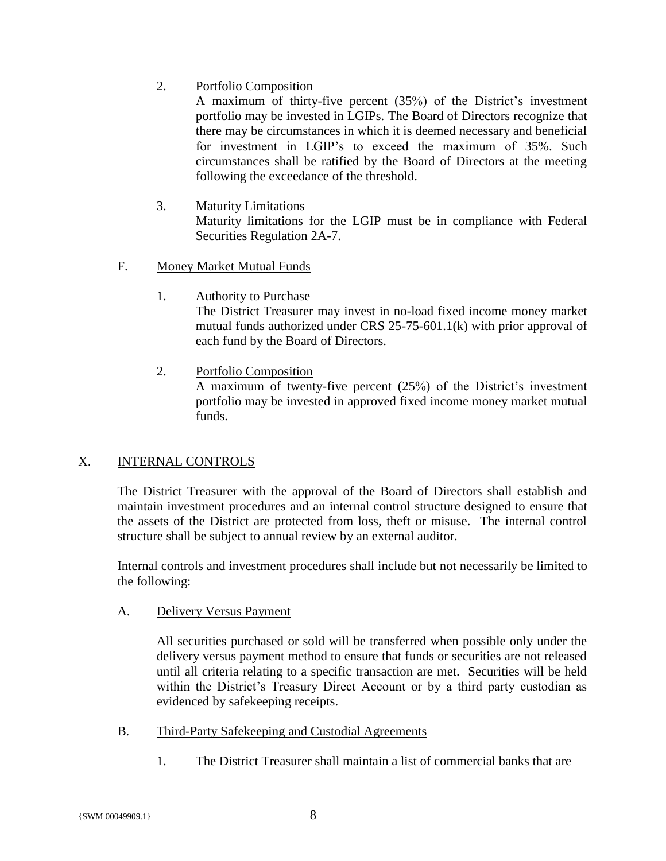2. Portfolio Composition

A maximum of thirty-five percent (35%) of the District's investment portfolio may be invested in LGIPs. The Board of Directors recognize that there may be circumstances in which it is deemed necessary and beneficial for investment in LGIP's to exceed the maximum of 35%. Such circumstances shall be ratified by the Board of Directors at the meeting following the exceedance of the threshold.

- 3. Maturity Limitations Maturity limitations for the LGIP must be in compliance with Federal Securities Regulation 2A-7.
- F. Money Market Mutual Funds
	- 1. Authority to Purchase

The District Treasurer may invest in no-load fixed income money market mutual funds authorized under CRS 25-75-601.1(k) with prior approval of each fund by the Board of Directors.

2. Portfolio Composition

A maximum of twenty-five percent (25%) of the District's investment portfolio may be invested in approved fixed income money market mutual funds.

# X. INTERNAL CONTROLS

The District Treasurer with the approval of the Board of Directors shall establish and maintain investment procedures and an internal control structure designed to ensure that the assets of the District are protected from loss, theft or misuse. The internal control structure shall be subject to annual review by an external auditor.

Internal controls and investment procedures shall include but not necessarily be limited to the following:

A. Delivery Versus Payment

All securities purchased or sold will be transferred when possible only under the delivery versus payment method to ensure that funds or securities are not released until all criteria relating to a specific transaction are met. Securities will be held within the District's Treasury Direct Account or by a third party custodian as evidenced by safekeeping receipts.

- B. Third-Party Safekeeping and Custodial Agreements
	- 1. The District Treasurer shall maintain a list of commercial banks that are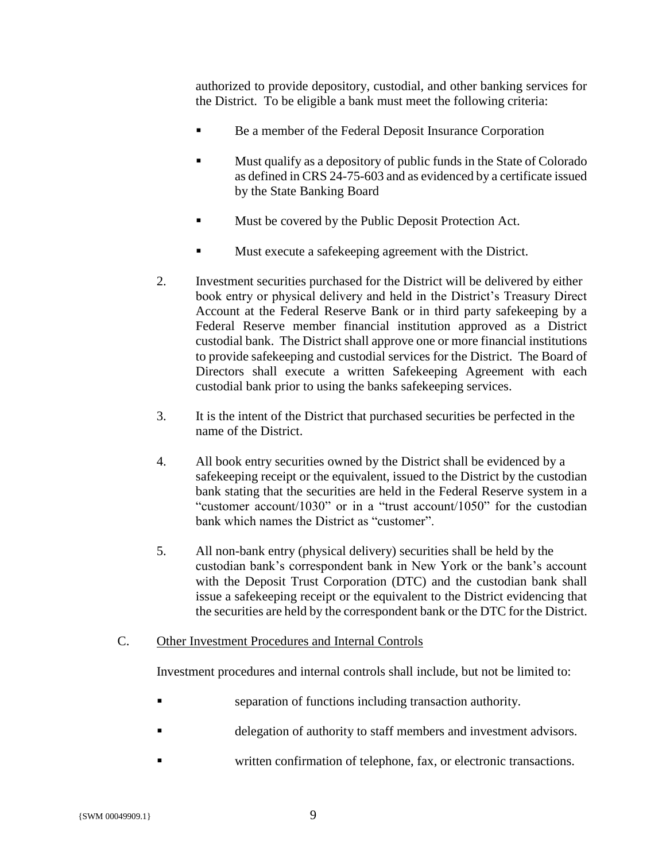authorized to provide depository, custodial, and other banking services for the District. To be eligible a bank must meet the following criteria:

- Be a member of the Federal Deposit Insurance Corporation
- Must qualify as a depository of public funds in the State of Colorado as defined in CRS 24-75-603 and as evidenced by a certificate issued by the State Banking Board
- Must be covered by the Public Deposit Protection Act.
- Must execute a safekeeping agreement with the District.
- 2. Investment securities purchased for the District will be delivered by either book entry or physical delivery and held in the District's Treasury Direct Account at the Federal Reserve Bank or in third party safekeeping by a Federal Reserve member financial institution approved as a District custodial bank. The District shall approve one or more financial institutions to provide safekeeping and custodial services for the District. The Board of Directors shall execute a written Safekeeping Agreement with each custodial bank prior to using the banks safekeeping services.
- 3. It is the intent of the District that purchased securities be perfected in the name of the District.
- 4. All book entry securities owned by the District shall be evidenced by a safekeeping receipt or the equivalent, issued to the District by the custodian bank stating that the securities are held in the Federal Reserve system in a "customer account/1030" or in a "trust account/1050" for the custodian bank which names the District as "customer".
- 5. All non-bank entry (physical delivery) securities shall be held by the custodian bank's correspondent bank in New York or the bank's account with the Deposit Trust Corporation (DTC) and the custodian bank shall issue a safekeeping receipt or the equivalent to the District evidencing that the securities are held by the correspondent bank or the DTC for the District.
- C. Other Investment Procedures and Internal Controls

Investment procedures and internal controls shall include, but not be limited to:

- separation of functions including transaction authority.
- delegation of authority to staff members and investment advisors.
- written confirmation of telephone, fax, or electronic transactions.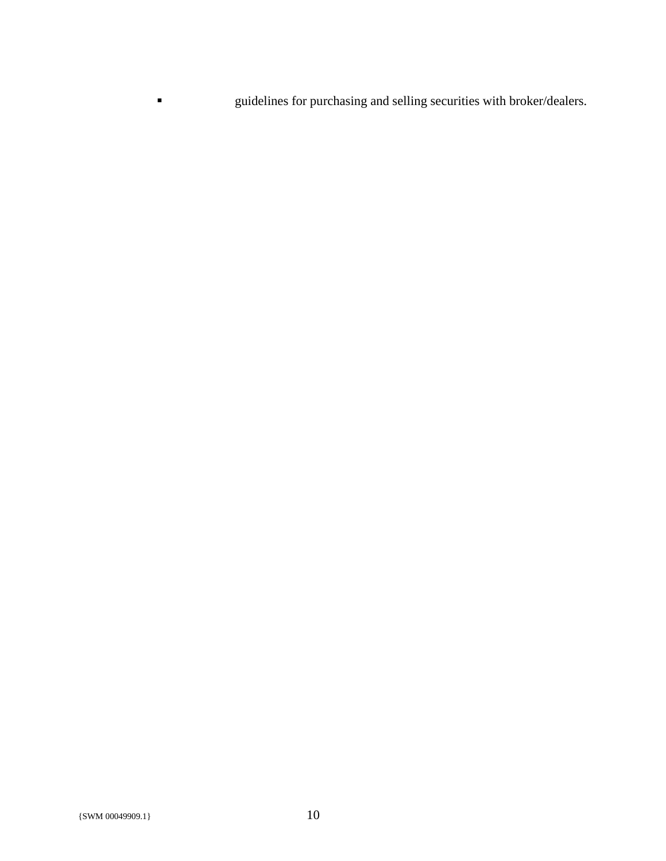▪ guidelines for purchasing and selling securities with broker/dealers.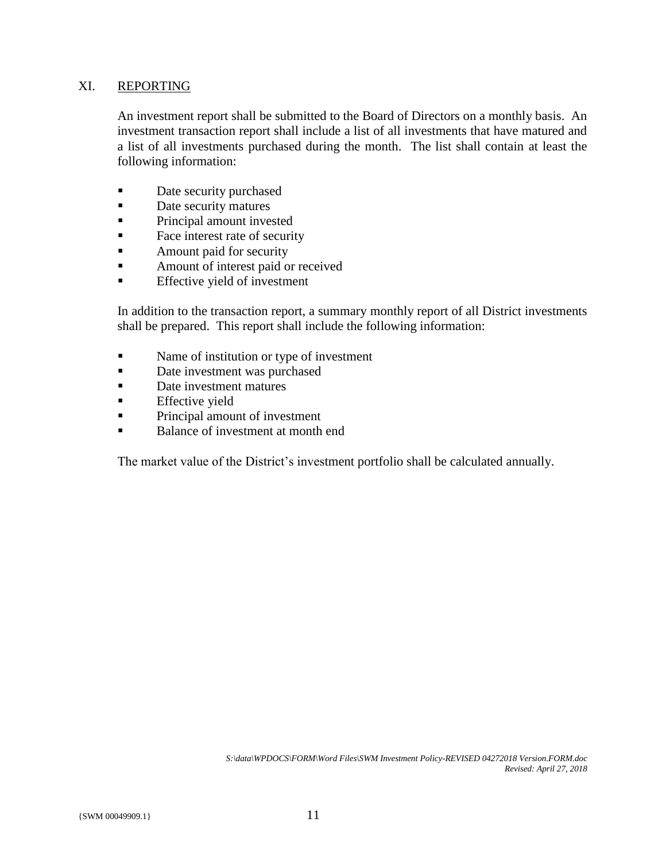#### XI. REPORTING

An investment report shall be submitted to the Board of Directors on a monthly basis. An investment transaction report shall include a list of all investments that have matured and a list of all investments purchased during the month. The list shall contain at least the following information:

- Date security purchased
- Date security matures
- **•** Principal amount invested
- Face interest rate of security
- **Example 1** Amount paid for security
- Amount of interest paid or received
- **Effective yield of investment**

In addition to the transaction report, a summary monthly report of all District investments shall be prepared. This report shall include the following information:

- Name of institution or type of investment
- Date investment was purchased
- Date investment matures
- **Effective yield**
- **Principal amount of investment**
- Balance of investment at month end

The market value of the District's investment portfolio shall be calculated annually.